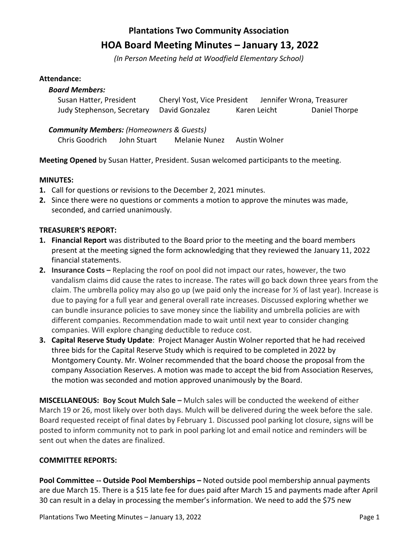# **Plantations Two Community Association HOA Board Meeting Minutes – January 13, 2022**

*(In Person Meeting held at Woodfield Elementary School)*

#### **Attendance:**

| <b>Board Members:</b>      |                             |              |                           |
|----------------------------|-----------------------------|--------------|---------------------------|
| Susan Hatter, President    | Cheryl Yost, Vice President |              | Jennifer Wrona, Treasurer |
| Judy Stephenson, Secretary | David Gonzalez              | Karen Leicht | Daniel Thorpe             |

#### *Community Members: (Homeowners & Guests)*

Chris Goodrich John Stuart Melanie Nunez Austin Wolner

**Meeting Opened** by Susan Hatter, President. Susan welcomed participants to the meeting.

## **MINUTES:**

- **1.** Call for questions or revisions to the December 2, 2021 minutes.
- **2.** Since there were no questions or comments a motion to approve the minutes was made, seconded, and carried unanimously.

## **TREASURER'S REPORT:**

- **1. Financial Report** was distributed to the Board prior to the meeting and the board members present at the meeting signed the form acknowledging that they reviewed the January 11, 2022 financial statements.
- **2. Insurance Costs –** Replacing the roof on pool did not impact our rates, however, the two vandalism claims did cause the rates to increase. The rates will go back down three years from the claim. The umbrella policy may also go up (we paid only the increase for ½ of last year). Increase is due to paying for a full year and general overall rate increases. Discussed exploring whether we can bundle insurance policies to save money since the liability and umbrella policies are with different companies. Recommendation made to wait until next year to consider changing companies. Will explore changing deductible to reduce cost.
- **3. Capital Reserve Study Update**: Project Manager Austin Wolner reported that he had received three bids for the Capital Reserve Study which is required to be completed in 2022 by Montgomery County. Mr. Wolner recommended that the board choose the proposal from the company Association Reserves. A motion was made to accept the bid from Association Reserves, the motion was seconded and motion approved unanimously by the Board.

**MISCELLANEOUS: Boy Scout Mulch Sale –** Mulch sales will be conducted the weekend of either March 19 or 26, most likely over both days. Mulch will be delivered during the week before the sale. Board requested receipt of final dates by February 1. Discussed pool parking lot closure, signs will be posted to inform community not to park in pool parking lot and email notice and reminders will be sent out when the dates are finalized.

## **COMMITTEE REPORTS:**

**Pool Committee -- Outside Pool Memberships -** Noted outside pool membership annual payments are due March 15. There is a \$15 late fee for dues paid after March 15 and payments made after April 30 can result in a delay in processing the member's information. We need to add the \$75 new